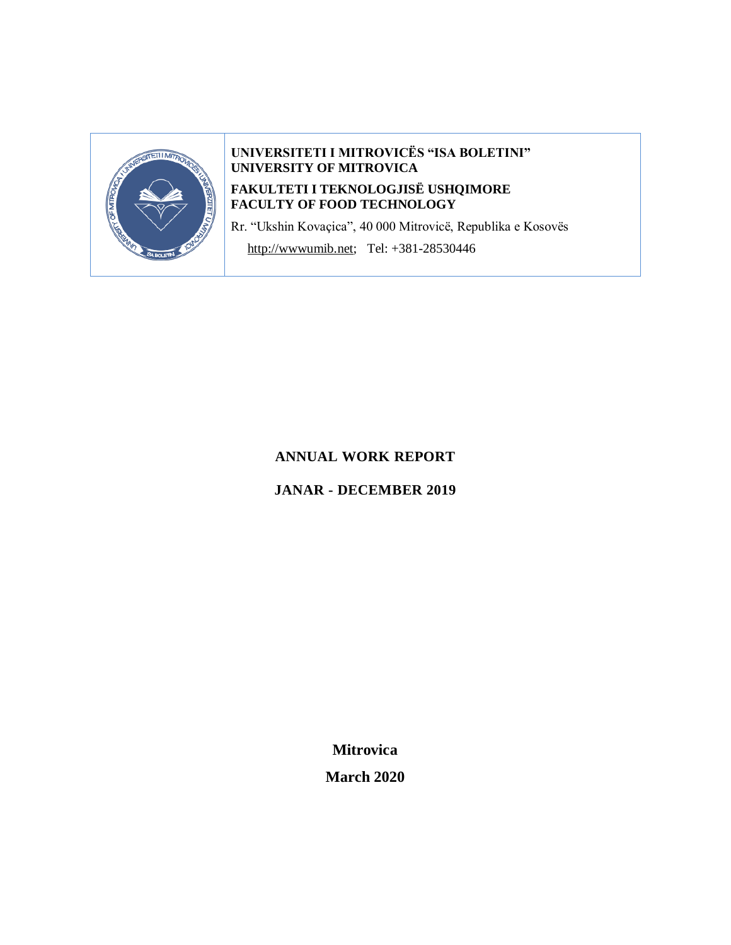

# **UNIVERSITETI I MITROVICËS "ISA BOLETINI" UNIVERSITY OF MITROVICA**

# **FAKULTETI I TEKNOLOGJISË USHQIMORE FACULTY OF FOOD TECHNOLOGY**

Rr. "Ukshin Kovaçica", 40 000 Mitrovicë, Republika e Kosovës

[http://wwwumib.net;](http://wwwumib.net/) Tel: +381-28530446

# **ANNUAL WORK REPORT**

# **JANAR - DECEMBER 2019**

**Mitrovica March 2020**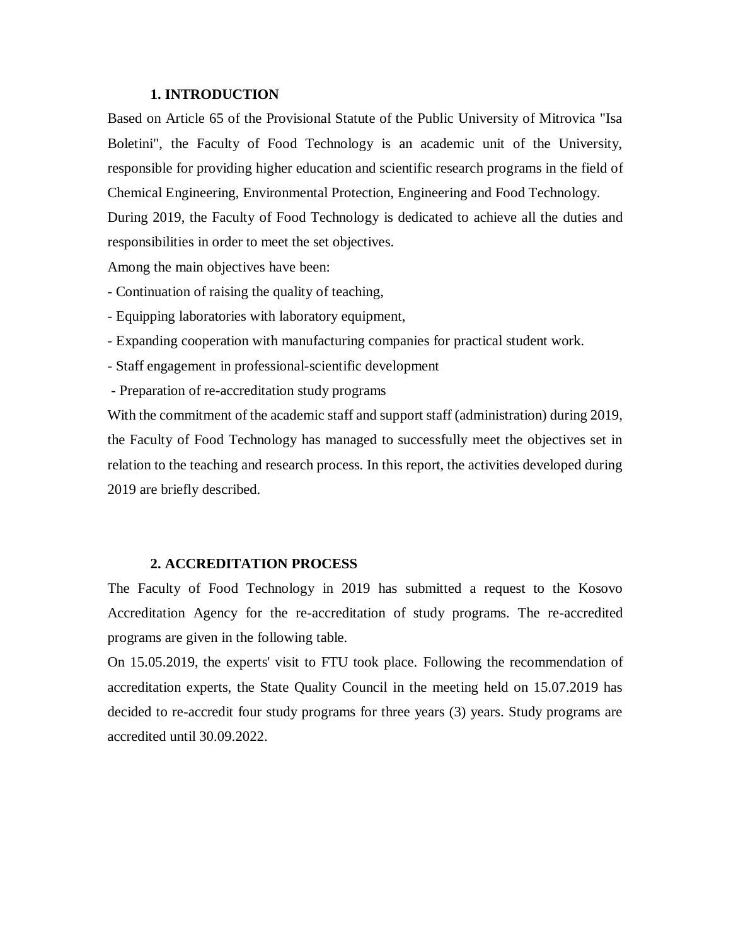#### **1. INTRODUCTION**

Based on Article 65 of the Provisional Statute of the Public University of Mitrovica "Isa Boletini", the Faculty of Food Technology is an academic unit of the University, responsible for providing higher education and scientific research programs in the field of Chemical Engineering, Environmental Protection, Engineering and Food Technology. During 2019, the Faculty of Food Technology is dedicated to achieve all the duties and responsibilities in order to meet the set objectives.

Among the main objectives have been:

- Continuation of raising the quality of teaching,

- Equipping laboratories with laboratory equipment,

- Expanding cooperation with manufacturing companies for practical student work.

- Staff engagement in professional-scientific development

- Preparation of re-accreditation study programs

With the commitment of the academic staff and support staff (administration) during 2019, the Faculty of Food Technology has managed to successfully meet the objectives set in relation to the teaching and research process. In this report, the activities developed during 2019 are briefly described.

#### **2. ACCREDITATION PROCESS**

The Faculty of Food Technology in 2019 has submitted a request to the Kosovo Accreditation Agency for the re-accreditation of study programs. The re-accredited programs are given in the following table.

On 15.05.2019, the experts' visit to FTU took place. Following the recommendation of accreditation experts, the State Quality Council in the meeting held on 15.07.2019 has decided to re-accredit four study programs for three years (3) years. Study programs are accredited until 30.09.2022.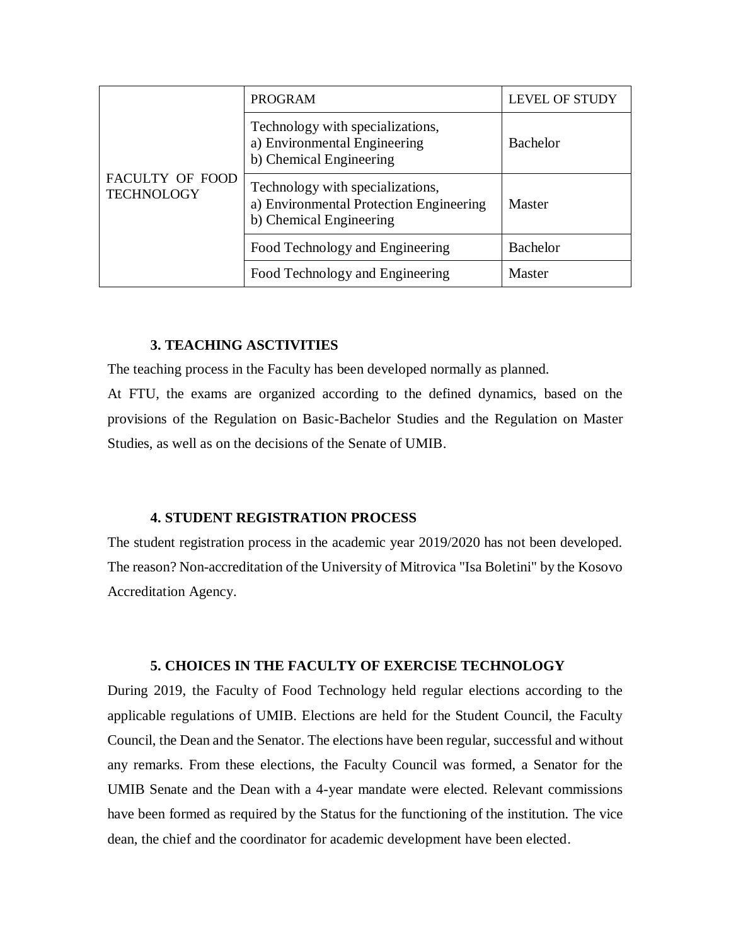| <b>FACULTY OF FOOD</b><br><b>TECHNOLOGY</b> | <b>PROGRAM</b>                                                                                         | <b>LEVEL OF STUDY</b> |  |
|---------------------------------------------|--------------------------------------------------------------------------------------------------------|-----------------------|--|
|                                             | Technology with specializations,<br>a) Environmental Engineering<br>b) Chemical Engineering            | <b>Bachelor</b>       |  |
|                                             | Technology with specializations,<br>a) Environmental Protection Engineering<br>b) Chemical Engineering | Master                |  |
|                                             | Food Technology and Engineering                                                                        | <b>Bachelor</b>       |  |
|                                             | Food Technology and Engineering                                                                        | Master                |  |

#### **3. TEACHING ASCTIVITIES**

The teaching process in the Faculty has been developed normally as planned.

At FTU, the exams are organized according to the defined dynamics, based on the provisions of the Regulation on Basic-Bachelor Studies and the Regulation on Master Studies, as well as on the decisions of the Senate of UMIB.

#### **4. STUDENT REGISTRATION PROCESS**

The student registration process in the academic year 2019/2020 has not been developed. The reason? Non-accreditation of the University of Mitrovica "Isa Boletini" by the Kosovo Accreditation Agency.

#### **5. CHOICES IN THE FACULTY OF EXERCISE TECHNOLOGY**

During 2019, the Faculty of Food Technology held regular elections according to the applicable regulations of UMIB. Elections are held for the Student Council, the Faculty Council, the Dean and the Senator. The elections have been regular, successful and without any remarks. From these elections, the Faculty Council was formed, a Senator for the UMIB Senate and the Dean with a 4-year mandate were elected. Relevant commissions have been formed as required by the Status for the functioning of the institution. The vice dean, the chief and the coordinator for academic development have been elected.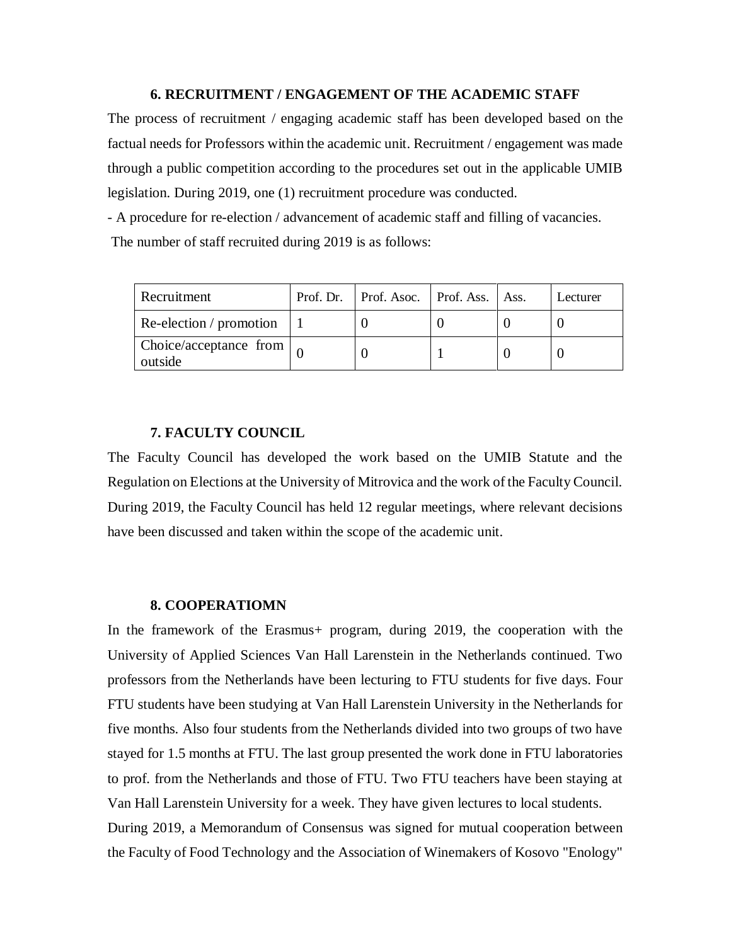#### **6. RECRUITMENT / ENGAGEMENT OF THE ACADEMIC STAFF**

The process of recruitment / engaging academic staff has been developed based on the factual needs for Professors within the academic unit. Recruitment / engagement was made through a public competition according to the procedures set out in the applicable UMIB legislation. During 2019, one (1) recruitment procedure was conducted.

- A procedure for re-election / advancement of academic staff and filling of vacancies. The number of staff recruited during 2019 is as follows:

| Recruitment                                 | Prof. Dr.   Prof. Asoc.   Prof. Ass.   Ass. |  | Lecturer |
|---------------------------------------------|---------------------------------------------|--|----------|
| Re-election / promotion                     |                                             |  |          |
| Choice/acceptance from $\vert_0$<br>outside |                                             |  |          |

### **7. FACULTY COUNCIL**

The Faculty Council has developed the work based on the UMIB Statute and the Regulation on Elections at the University of Mitrovica and the work of the Faculty Council. During 2019, the Faculty Council has held 12 regular meetings, where relevant decisions have been discussed and taken within the scope of the academic unit.

#### **8. COOPERATIOMN**

In the framework of the Erasmus+ program, during 2019, the cooperation with the University of Applied Sciences Van Hall Larenstein in the Netherlands continued. Two professors from the Netherlands have been lecturing to FTU students for five days. Four FTU students have been studying at Van Hall Larenstein University in the Netherlands for five months. Also four students from the Netherlands divided into two groups of two have stayed for 1.5 months at FTU. The last group presented the work done in FTU laboratories to prof. from the Netherlands and those of FTU. Two FTU teachers have been staying at Van Hall Larenstein University for a week. They have given lectures to local students. During 2019, a Memorandum of Consensus was signed for mutual cooperation between the Faculty of Food Technology and the Association of Winemakers of Kosovo "Enology"